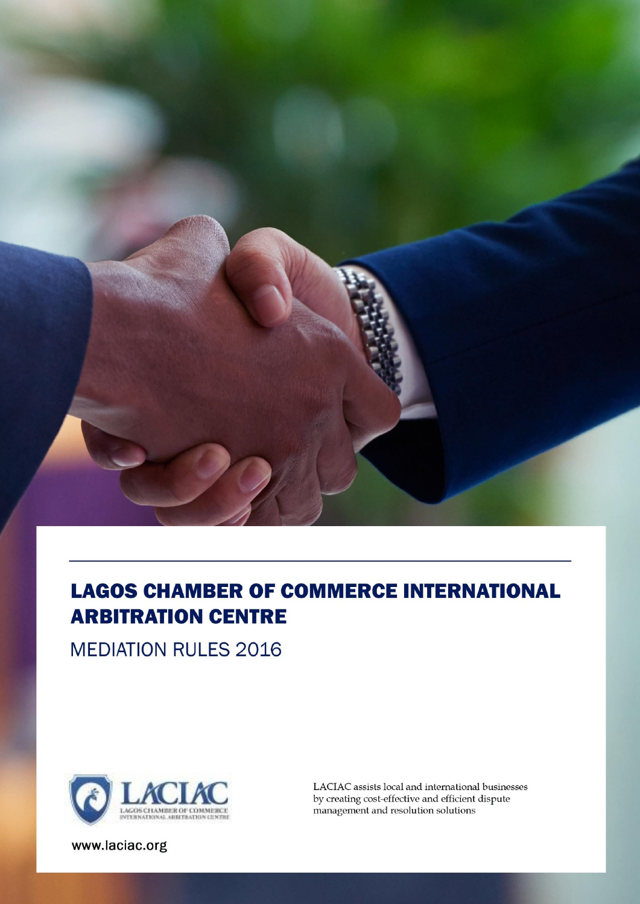

# **LAGOS CHAMBER OF COMMERCE INTERNATIONAL ARBITRATION CENTRE**

**MEDIATION RULES 2016** 



LACIAC assists local and international businesses by creating cost-effective and efficient dispute management and resolution solutions

www.laciac.org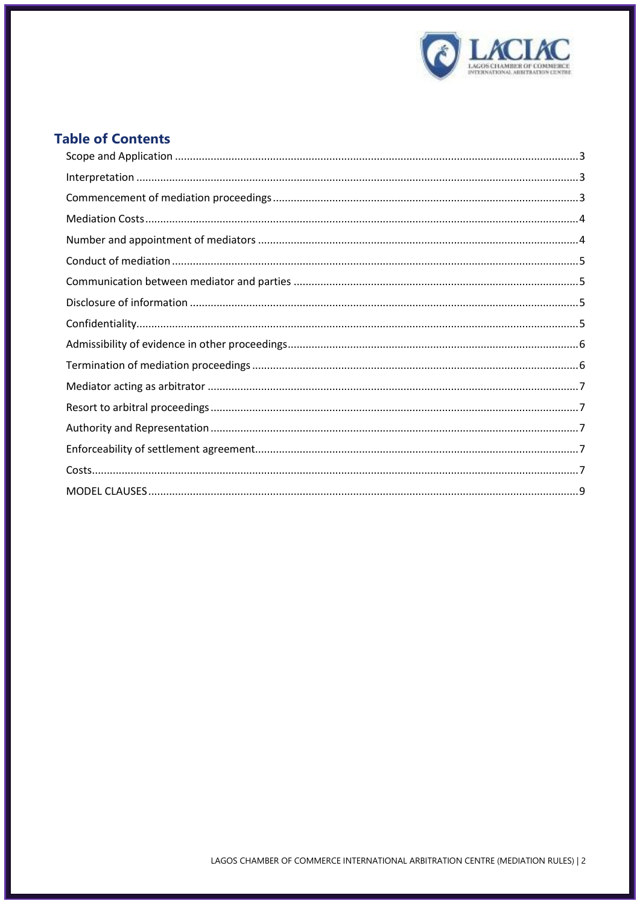

# **Table of Contents**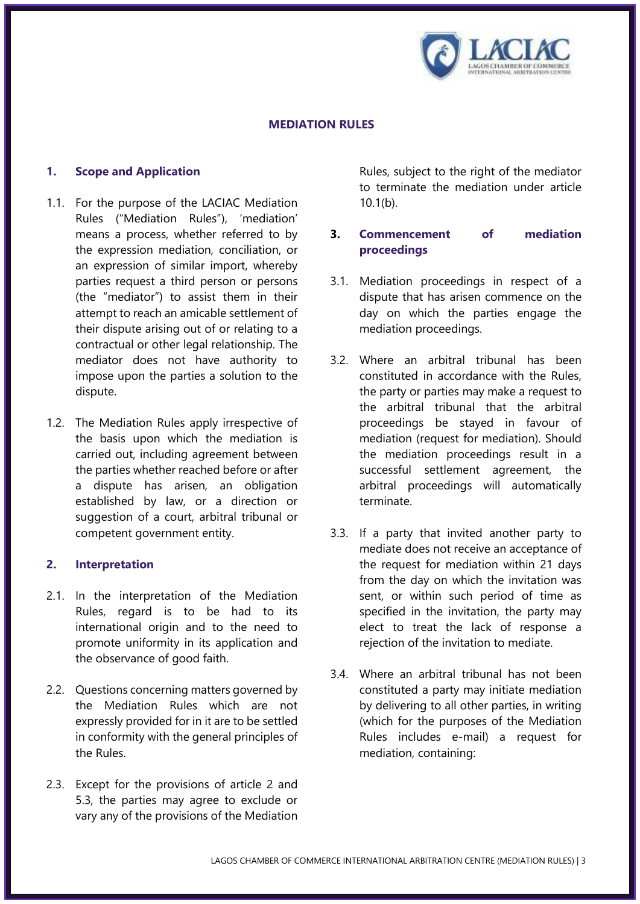

#### **MEDIATION RULES**

#### <span id="page-2-0"></span>**1. Scope and Application**

- 1.1. For the purpose of the LACIAC Mediation Rules ("Mediation Rules"), 'mediation' means a process, whether referred to by the expression mediation, conciliation, or an expression of similar import, whereby parties request a third person or persons (the "mediator") to assist them in their attempt to reach an amicable settlement of their dispute arising out of or relating to a contractual or other legal relationship. The mediator does not have authority to impose upon the parties a solution to the dispute.
- 1.2. The Mediation Rules apply irrespective of the basis upon which the mediation is carried out, including agreement between the parties whether reached before or after a dispute has arisen, an obligation established by law, or a direction or suggestion of a court, arbitral tribunal or competent government entity.

#### <span id="page-2-1"></span>**2. Interpretation**

- 2.1. In the interpretation of the Mediation Rules, regard is to be had to its international origin and to the need to promote uniformity in its application and the observance of good faith.
- 2.2. Questions concerning matters governed by the Mediation Rules which are not expressly provided for in it are to be settled in conformity with the general principles of the Rules.
- 2.3. Except for the provisions of article 2 and 5.3, the parties may agree to exclude or vary any of the provisions of the Mediation

Rules, subject to the right of the mediator to terminate the mediation under article 10.1(b).

# <span id="page-2-2"></span>**3. Commencement of mediation proceedings**

- 3.1. Mediation proceedings in respect of a dispute that has arisen commence on the day on which the parties engage the mediation proceedings.
- 3.2. Where an arbitral tribunal has been constituted in accordance with the Rules, the party or parties may make a request to the arbitral tribunal that the arbitral proceedings be stayed in favour of mediation (request for mediation). Should the mediation proceedings result in a successful settlement agreement, the arbitral proceedings will automatically terminate.
- 3.3. If a party that invited another party to mediate does not receive an acceptance of the request for mediation within 21 days from the day on which the invitation was sent, or within such period of time as specified in the invitation, the party may elect to treat the lack of response a rejection of the invitation to mediate.
- 3.4. Where an arbitral tribunal has not been constituted a party may initiate mediation by delivering to all other parties, in writing (which for the purposes of the Mediation Rules includes e-mail) a request for mediation, containing: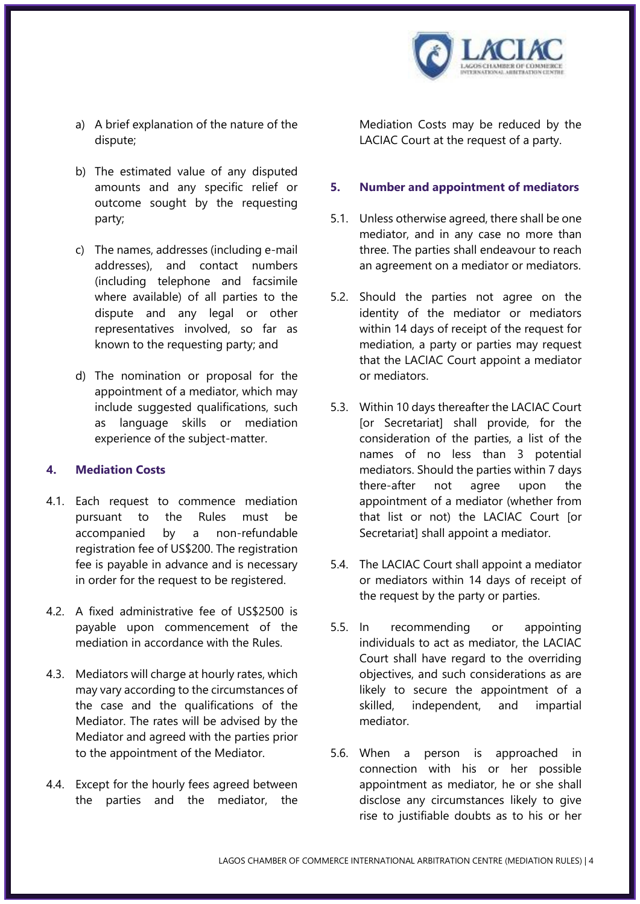

- a) A brief explanation of the nature of the dispute;
- b) The estimated value of any disputed amounts and any specific relief or outcome sought by the requesting party;
- c) The names, addresses (including e-mail addresses), and contact numbers (including telephone and facsimile where available) of all parties to the dispute and any legal or other representatives involved, so far as known to the requesting party; and
- d) The nomination or proposal for the appointment of a mediator, which may include suggested qualifications, such as language skills or mediation experience of the subject-matter.

#### <span id="page-3-0"></span>**4. Mediation Costs**

- 4.1. Each request to commence mediation pursuant to the Rules must be accompanied by a non-refundable registration fee of US\$200. The registration fee is payable in advance and is necessary in order for the request to be registered.
- 4.2. A fixed administrative fee of US\$2500 is payable upon commencement of the mediation in accordance with the Rules.
- 4.3. Mediators will charge at hourly rates, which may vary according to the circumstances of the case and the qualifications of the Mediator. The rates will be advised by the Mediator and agreed with the parties prior to the appointment of the Mediator.
- 4.4. Except for the hourly fees agreed between the parties and the mediator, the

Mediation Costs may be reduced by the LACIAC Court at the request of a party.

#### <span id="page-3-1"></span>**5. Number and appointment of mediators**

- 5.1. Unless otherwise agreed, there shall be one mediator, and in any case no more than three. The parties shall endeavour to reach an agreement on a mediator or mediators.
- 5.2. Should the parties not agree on the identity of the mediator or mediators within 14 days of receipt of the request for mediation, a party or parties may request that the LACIAC Court appoint a mediator or mediators.
- 5.3. Within 10 days thereafter the LACIAC Court [or Secretariat] shall provide, for the consideration of the parties, a list of the names of no less than 3 potential mediators. Should the parties within 7 days there-after not agree upon the appointment of a mediator (whether from that list or not) the LACIAC Court [or Secretariat] shall appoint a mediator.
- 5.4. The LACIAC Court shall appoint a mediator or mediators within 14 days of receipt of the request by the party or parties.
- 5.5. In recommending or appointing individuals to act as mediator, the LACIAC Court shall have regard to the overriding objectives, and such considerations as are likely to secure the appointment of a skilled, independent, and impartial mediator.
- 5.6. When a person is approached in connection with his or her possible appointment as mediator, he or she shall disclose any circumstances likely to give rise to justifiable doubts as to his or her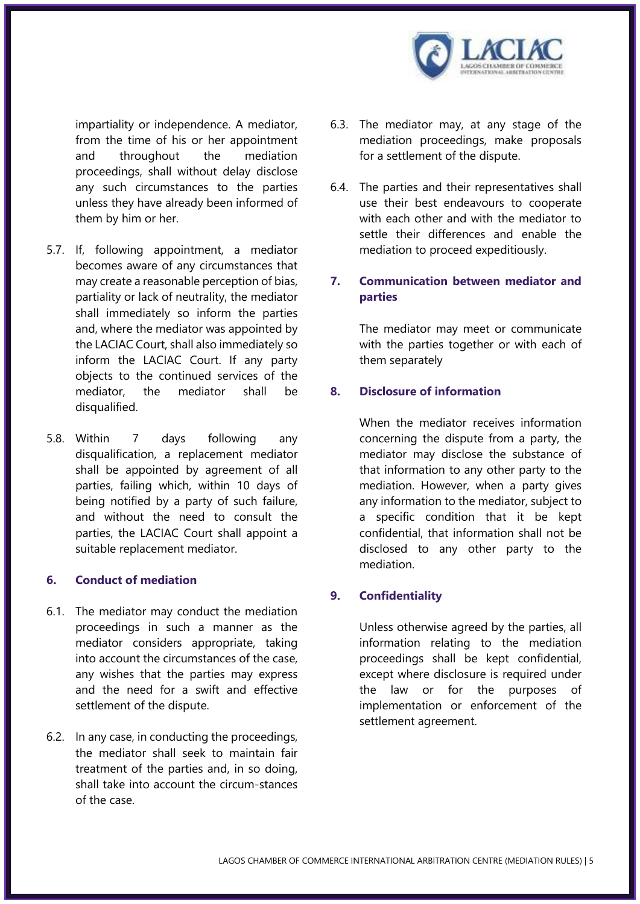

impartiality or independence. A mediator, from the time of his or her appointment and throughout the mediation proceedings, shall without delay disclose any such circumstances to the parties unless they have already been informed of them by him or her.

- 5.7. If, following appointment, a mediator becomes aware of any circumstances that may create a reasonable perception of bias, partiality or lack of neutrality, the mediator shall immediately so inform the parties and, where the mediator was appointed by the LACIAC Court, shall also immediately so inform the LACIAC Court. If any party objects to the continued services of the mediator, the mediator shall be disqualified.
- 5.8. Within 7 days following any disqualification, a replacement mediator shall be appointed by agreement of all parties, failing which, within 10 days of being notified by a party of such failure, and without the need to consult the parties, the LACIAC Court shall appoint a suitable replacement mediator.

#### <span id="page-4-0"></span>**6. Conduct of mediation**

- 6.1. The mediator may conduct the mediation proceedings in such a manner as the mediator considers appropriate, taking into account the circumstances of the case, any wishes that the parties may express and the need for a swift and effective settlement of the dispute.
- 6.2. In any case, in conducting the proceedings, the mediator shall seek to maintain fair treatment of the parties and, in so doing, shall take into account the circum-stances of the case.
- 6.3. The mediator may, at any stage of the mediation proceedings, make proposals for a settlement of the dispute.
- 6.4. The parties and their representatives shall use their best endeavours to cooperate with each other and with the mediator to settle their differences and enable the mediation to proceed expeditiously.

# <span id="page-4-1"></span>**7. Communication between mediator and parties**

The mediator may meet or communicate with the parties together or with each of them separately

#### <span id="page-4-2"></span>**8. Disclosure of information**

When the mediator receives information concerning the dispute from a party, the mediator may disclose the substance of that information to any other party to the mediation. However, when a party gives any information to the mediator, subject to a specific condition that it be kept confidential, that information shall not be disclosed to any other party to the mediation.

#### <span id="page-4-3"></span>**9. Confidentiality**

Unless otherwise agreed by the parties, all information relating to the mediation proceedings shall be kept confidential, except where disclosure is required under the law or for the purposes of implementation or enforcement of the settlement agreement.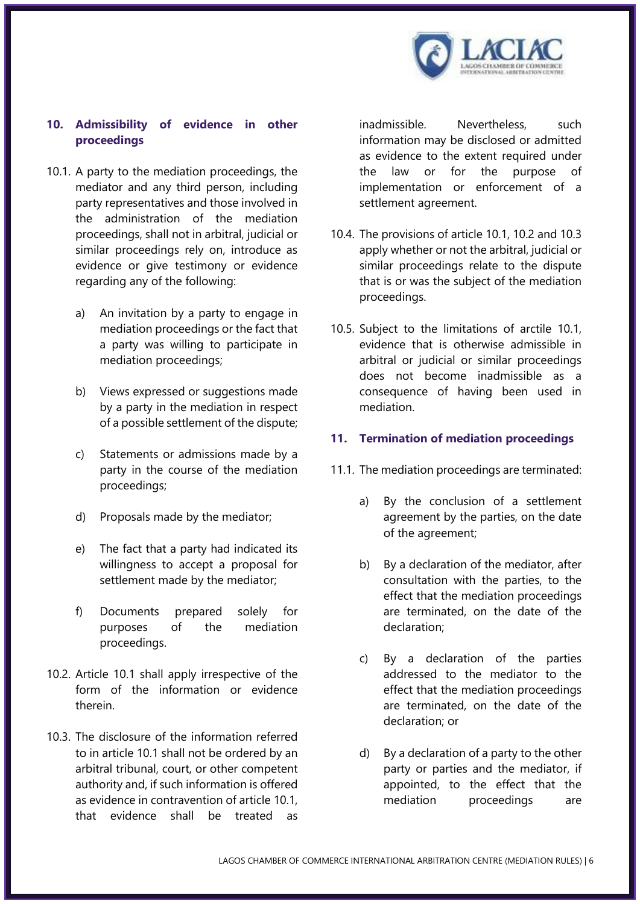

# <span id="page-5-0"></span>**10. Admissibility of evidence in other proceedings**

- 10.1. A party to the mediation proceedings, the mediator and any third person, including party representatives and those involved in the administration of the mediation proceedings, shall not in arbitral, judicial or similar proceedings rely on, introduce as evidence or give testimony or evidence regarding any of the following:
	- a) An invitation by a party to engage in mediation proceedings or the fact that a party was willing to participate in mediation proceedings;
	- b) Views expressed or suggestions made by a party in the mediation in respect of a possible settlement of the dispute;
	- c) Statements or admissions made by a party in the course of the mediation proceedings;
	- d) Proposals made by the mediator;
	- e) The fact that a party had indicated its willingness to accept a proposal for settlement made by the mediator;
	- f) Documents prepared solely for purposes of the mediation proceedings.
- 10.2. Article 10.1 shall apply irrespective of the form of the information or evidence therein.
- 10.3. The disclosure of the information referred to in article 10.1 shall not be ordered by an arbitral tribunal, court, or other competent authority and, if such information is offered as evidence in contravention of article 10.1, that evidence shall be treated as

inadmissible. Nevertheless, such information may be disclosed or admitted as evidence to the extent required under the law or for the purpose of implementation or enforcement of a settlement agreement.

- 10.4. The provisions of article 10.1, 10.2 and 10.3 apply whether or not the arbitral, judicial or similar proceedings relate to the dispute that is or was the subject of the mediation proceedings.
- 10.5. Subject to the limitations of arctile 10.1, evidence that is otherwise admissible in arbitral or judicial or similar proceedings does not become inadmissible as a consequence of having been used in mediation.

#### <span id="page-5-1"></span>**11. Termination of mediation proceedings**

- 11.1. The mediation proceedings are terminated:
	- a) By the conclusion of a settlement agreement by the parties, on the date of the agreement;
	- b) By a declaration of the mediator, after consultation with the parties, to the effect that the mediation proceedings are terminated, on the date of the declaration;
	- c) By a declaration of the parties addressed to the mediator to the effect that the mediation proceedings are terminated, on the date of the declaration; or
	- d) By a declaration of a party to the other party or parties and the mediator, if appointed, to the effect that the mediation proceedings are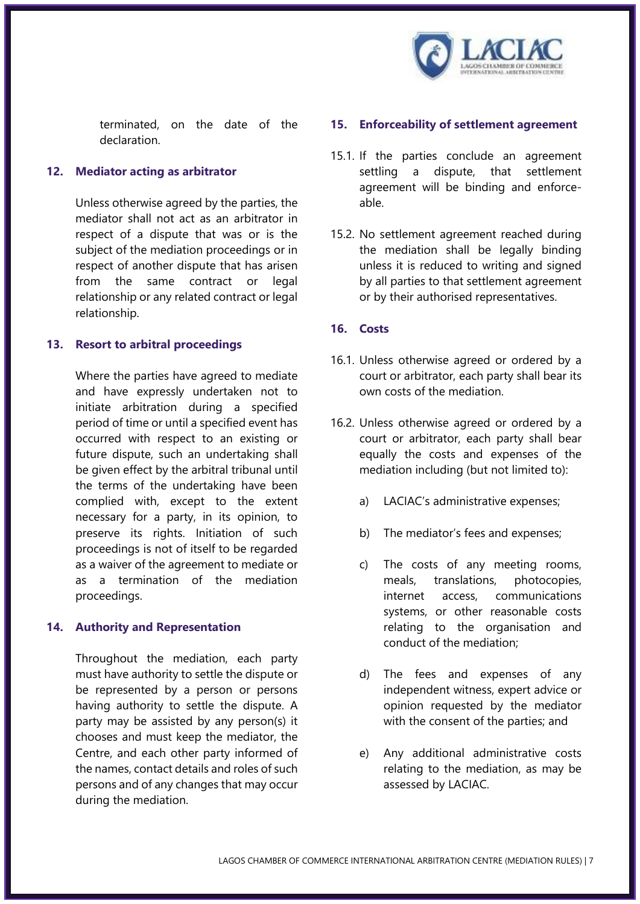

terminated, on the date of the declaration.

#### <span id="page-6-0"></span>**12. Mediator acting as arbitrator**

Unless otherwise agreed by the parties, the mediator shall not act as an arbitrator in respect of a dispute that was or is the subject of the mediation proceedings or in respect of another dispute that has arisen from the same contract or legal relationship or any related contract or legal relationship.

#### <span id="page-6-1"></span>**13. Resort to arbitral proceedings**

Where the parties have agreed to mediate and have expressly undertaken not to initiate arbitration during a specified period of time or until a specified event has occurred with respect to an existing or future dispute, such an undertaking shall be given effect by the arbitral tribunal until the terms of the undertaking have been complied with, except to the extent necessary for a party, in its opinion, to preserve its rights. Initiation of such proceedings is not of itself to be regarded as a waiver of the agreement to mediate or as a termination of the mediation proceedings.

#### <span id="page-6-2"></span>**14. Authority and Representation**

Throughout the mediation, each party must have authority to settle the dispute or be represented by a person or persons having authority to settle the dispute. A party may be assisted by any person(s) it chooses and must keep the mediator, the Centre, and each other party informed of the names, contact details and roles of such persons and of any changes that may occur during the mediation.

#### <span id="page-6-3"></span>**15. Enforceability of settlement agreement**

- 15.1. If the parties conclude an agreement settling a dispute, that settlement agreement will be binding and enforceable.
- 15.2. No settlement agreement reached during the mediation shall be legally binding unless it is reduced to writing and signed by all parties to that settlement agreement or by their authorised representatives.

#### <span id="page-6-4"></span>**16. Costs**

- 16.1. Unless otherwise agreed or ordered by a court or arbitrator, each party shall bear its own costs of the mediation.
- 16.2. Unless otherwise agreed or ordered by a court or arbitrator, each party shall bear equally the costs and expenses of the mediation including (but not limited to):
	- a) LACIAC's administrative expenses;
	- b) The mediator's fees and expenses;
	- c) The costs of any meeting rooms, meals, translations, photocopies, internet access, communications systems, or other reasonable costs relating to the organisation and conduct of the mediation;
	- d) The fees and expenses of any independent witness, expert advice or opinion requested by the mediator with the consent of the parties; and
	- e) Any additional administrative costs relating to the mediation, as may be assessed by LACIAC.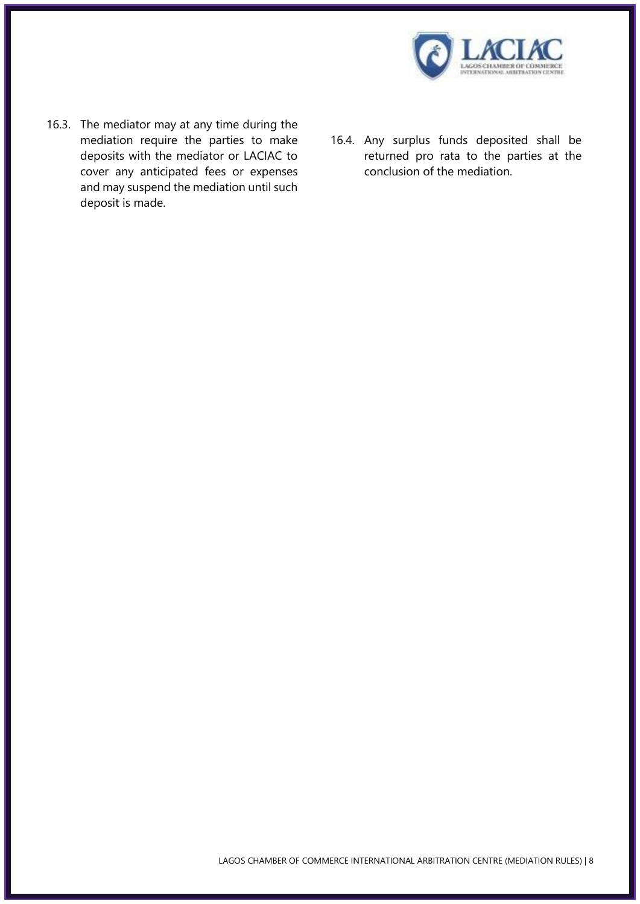

- 16.3. The mediator may at any time during the mediation require the parties to make deposits with the mediator or LACIAC to cover any anticipated fees or expenses and may suspend the mediation until such deposit is made.
- 16.4. Any surplus funds deposited shall be returned pro rata to the parties at the conclusion of the mediation.